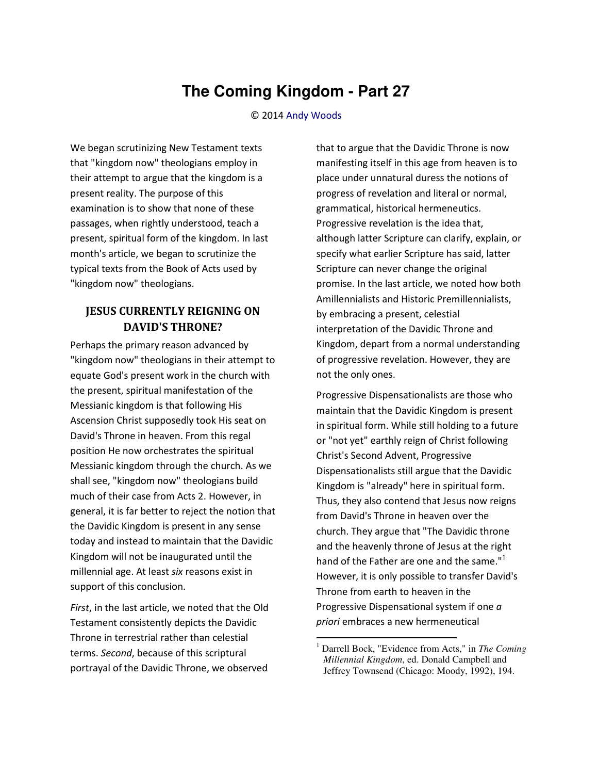## **The Coming Kingdom - Part 27**

## © 2014 [Andy Woods](http://www.spiritandtruth.org/id/aw.htm)

We began scrutinizing New Testament texts that "kingdom now" theologians employ in their attempt to argue that the kingdom is a present reality. The purpose of this examination is to show that none of these passages, when rightly understood, teach a present, spiritual form of the kingdom. In last month's article, we began to scrutinize the typical texts from the Book of Acts used by "kingdom now" theologians.

## **JESUS CURRENTLY REIGNING ON DAVID'S THRONE?**

Perhaps the primary reason advanced by "kingdom now" theologians in their attempt to equate God's present work in the church with the present, spiritual manifestation of the Messianic kingdom is that following His Ascension Christ supposedly took His seat on David's Throne in heaven. From this regal position He now orchestrates the spiritual Messianic kingdom through the church. As we shall see, "kingdom now" theologians build much of their case from Acts 2. However, in general, it is far better to reject the notion that the Davidic Kingdom is present in any sense today and instead to maintain that the Davidic Kingdom will not be inaugurated until the millennial age. At least *six* reasons exist in support of this conclusion.

*First*, in the last article, we noted that the Old Testament consistently depicts the Davidic Throne in terrestrial rather than celestial terms. *Second*, because of this scriptural portrayal of the Davidic Throne, we observed

that to argue that the Davidic Throne is now manifesting itself in this age from heaven is to place under unnatural duress the notions of progress of revelation and literal or normal, grammatical, historical hermeneutics. Progressive revelation is the idea that, although latter Scripture can clarify, explain, or specify what earlier Scripture has said, latter Scripture can never change the original promise. In the last article, we noted how both Amillennialists and Historic Premillennialists, by embracing a present, celestial interpretation of the Davidic Throne and Kingdom, depart from a normal understanding of progressive revelation. However, they are not the only ones.

Progressive Dispensationalists are those who maintain that the Davidic Kingdom is present in spiritual form. While still holding to a future or "not yet" earthly reign of Christ following Christ's Second Advent, Progressive Dispensationalists still argue that the Davidic Kingdom is "already" here in spiritual form. Thus, they also contend that Jesus now reigns from David's Throne in heaven over the church. They argue that "The Davidic throne and the heavenly throne of Jesus at the right hand of the Father are one and the same."<sup>1</sup> However, it is only possible to transfer David's Throne from earth to heaven in the Progressive Dispensational system if one *a priori* embraces a new hermeneutical

 $\overline{a}$ 

<sup>1</sup> Darrell Bock, "Evidence from Acts," in *The Coming Millennial Kingdom*, ed. Donald Campbell and Jeffrey Townsend (Chicago: Moody, 1992), 194.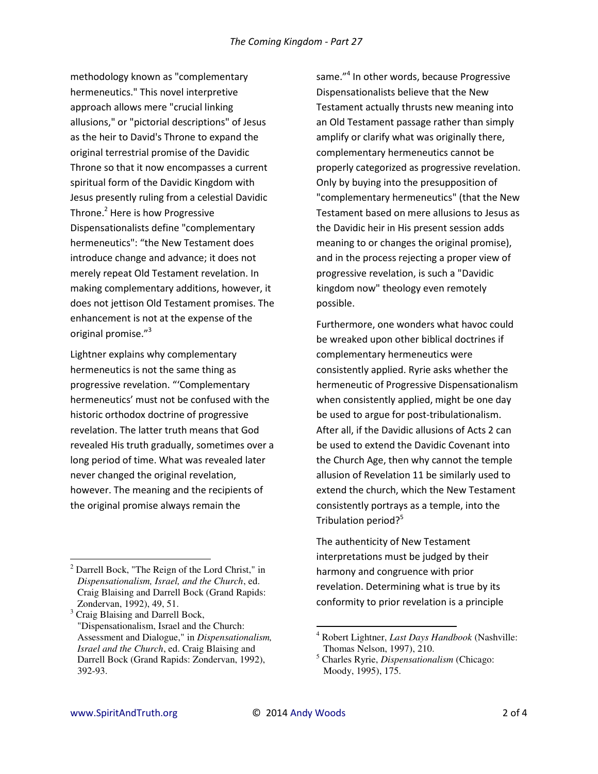methodology known as "complementary hermeneutics." This novel interpretive approach allows mere "crucial linking allusions," or "pictorial descriptions" of Jesus as the heir to David's Throne to expand the original terrestrial promise of the Davidic Throne so that it now encompasses a current spiritual form of the Davidic Kingdom with Jesus presently ruling from a celestial Davidic Throne.<sup>2</sup> Here is how Progressive Dispensationalists define "complementary hermeneutics": "the New Testament does introduce change and advance; it does not merely repeat Old Testament revelation. In making complementary additions, however, it does not jettison Old Testament promises. The enhancement is not at the expense of the original promise."<sup>3</sup>

Lightner explains why complementary hermeneutics is not the same thing as progressive revelation. "'Complementary hermeneutics' must not be confused with the historic orthodox doctrine of progressive revelation. The latter truth means that God revealed His truth gradually, sometimes over a long period of time. What was revealed later never changed the original revelation, however. The meaning and the recipients of the original promise always remain the

same."<sup>4</sup> In other words, because Progressive Dispensationalists believe that the New Testament actually thrusts new meaning into an Old Testament passage rather than simply amplify or clarify what was originally there, complementary hermeneutics cannot be properly categorized as progressive revelation. Only by buying into the presupposition of "complementary hermeneutics" (that the New Testament based on mere allusions to Jesus as the Davidic heir in His present session adds meaning to or changes the original promise). and in the process rejecting a proper view of progressive revelation, is such a "Davidic kingdom now" theology even remotely possible.

Furthermore, one wonders what havoc could be wreaked upon other biblical doctrines if complementary hermeneutics were consistently applied. Ryrie asks whether the hermeneutic of Progressive Dispensationalism when consistently applied, might be one day be used to argue for post-tribulationalism. After all, if the Davidic allusions of Acts 2 can be used to extend the Davidic Covenant into the Church Age, then why cannot the temple allusion of Revelation 11 be similarly used to extend the church, which the New Testament consistently portrays as a temple, into the Tribulation period?<sup>5</sup>

The authenticity of New Testament interpretations must be judged by their harmony and congruence with prior revelation. Determining what is true by its conformity to prior revelation is a principle

 $2$  Darrell Bock, "The Reign of the Lord Christ," in Dispensationalism, Israel, and the Church, ed. Craig Blaising and Darrell Bock (Grand Rapids: Zondervan, 1992), 49, 51.

<sup>&</sup>lt;sup>3</sup> Craig Blaising and Darrell Bock, "Dispensationalism, Israel and the Church: Assessment and Dialogue," in Dispensationalism, Israel and the Church, ed. Craig Blaising and Darrell Bock (Grand Rapids: Zondervan, 1992), 392-93.

<sup>&</sup>lt;sup>4</sup> Robert Lightner, *Last Days Handbook* (Nashville: Thomas Nelson, 1997), 210.

 $<sup>5</sup>$  Charles Ryrie, *Dispensationalism* (Chicago:</sup> Moody, 1995), 175.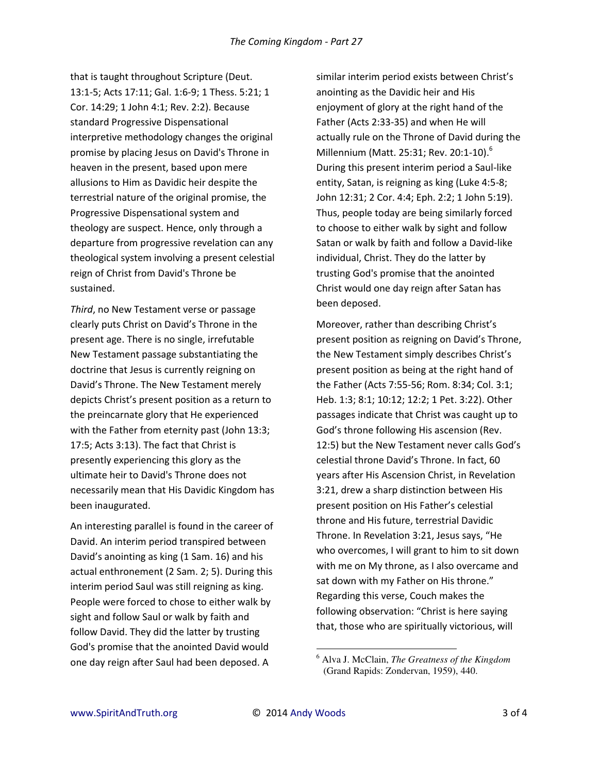that is taught throughout Scripture (Deut. 13:1-5; Acts 17:11; Gal. 1:6-9; 1 Thess. 5:21; 1 Cor. 14:29; 1 John 4:1; Rev. 2:2). Because standard Progressive Dispensational interpretive methodology changes the original promise by placing Jesus on David's Throne in heaven in the present, based upon mere allusions to Him as Davidic heir despite the terrestrial nature of the original promise, the Progressive Dispensational system and theology are suspect. Hence, only through a departure from progressive revelation can any theological system involving a present celestial reign of Christ from David's Throne be sustained.

*Third*, no New Testament verse or passage clearly puts Christ on David's Throne in the present age. There is no single, irrefutable New Testament passage substantiating the doctrine that Jesus is currently reigning on David's Throne. The New Testament merely depicts Christ's present position as a return to the preincarnate glory that He experienced with the Father from eternity past (John 13:3; 17:5; Acts 3:13). The fact that Christ is presently experiencing this glory as the ultimate heir to David's Throne does not necessarily mean that His Davidic Kingdom has been inaugurated.

An interesting parallel is found in the career of David. An interim period transpired between David's anointing as king (1 Sam. 16) and his actual enthronement (2 Sam. 2; 5). During this interim period Saul was still reigning as king. People were forced to chose to either walk by sight and follow Saul or walk by faith and follow David. They did the latter by trusting God's promise that the anointed David would one day reign after Saul had been deposed. A

similar interim period exists between Christ's anointing as the Davidic heir and His enjoyment of glory at the right hand of the Father (Acts 2:33-35) and when He will actually rule on the Throne of David during the Millennium (Matt. 25:31; Rev. 20:1-10).<sup>6</sup> During this present interim period a Saul-like entity, Satan, is reigning as king (Luke 4:5-8; John 12:31; 2 Cor. 4:4; Eph. 2:2; 1 John 5:19). Thus, people today are being similarly forced to choose to either walk by sight and follow Satan or walk by faith and follow a David-like individual, Christ. They do the latter by trusting God's promise that the anointed Christ would one day reign after Satan has been deposed.

Moreover, rather than describing Christ's present position as reigning on David's Throne, the New Testament simply describes Christ's present position as being at the right hand of the Father (Acts 7:55-56; Rom. 8:34; Col. 3:1; Heb. 1:3; 8:1; 10:12; 12:2; 1 Pet. 3:22). Other passages indicate that Christ was caught up to God's throne following His ascension (Rev. 12:5) but the New Testament never calls God's celestial throne David's Throne. In fact, 60 years after His Ascension Christ, in Revelation 3:21, drew a sharp distinction between His present position on His Father's celestial throne and His future, terrestrial Davidic Throne. In Revelation 3:21, Jesus says, "He who overcomes, I will grant to him to sit down with me on My throne, as I also overcame and sat down with my Father on His throne." Regarding this verse, Couch makes the following observation: "Christ is here saying that, those who are spiritually victorious, will

 $\overline{\phantom{0}}$ 

<sup>6</sup> Alva J. McClain, *The Greatness of the Kingdom*  (Grand Rapids: Zondervan, 1959), 440.